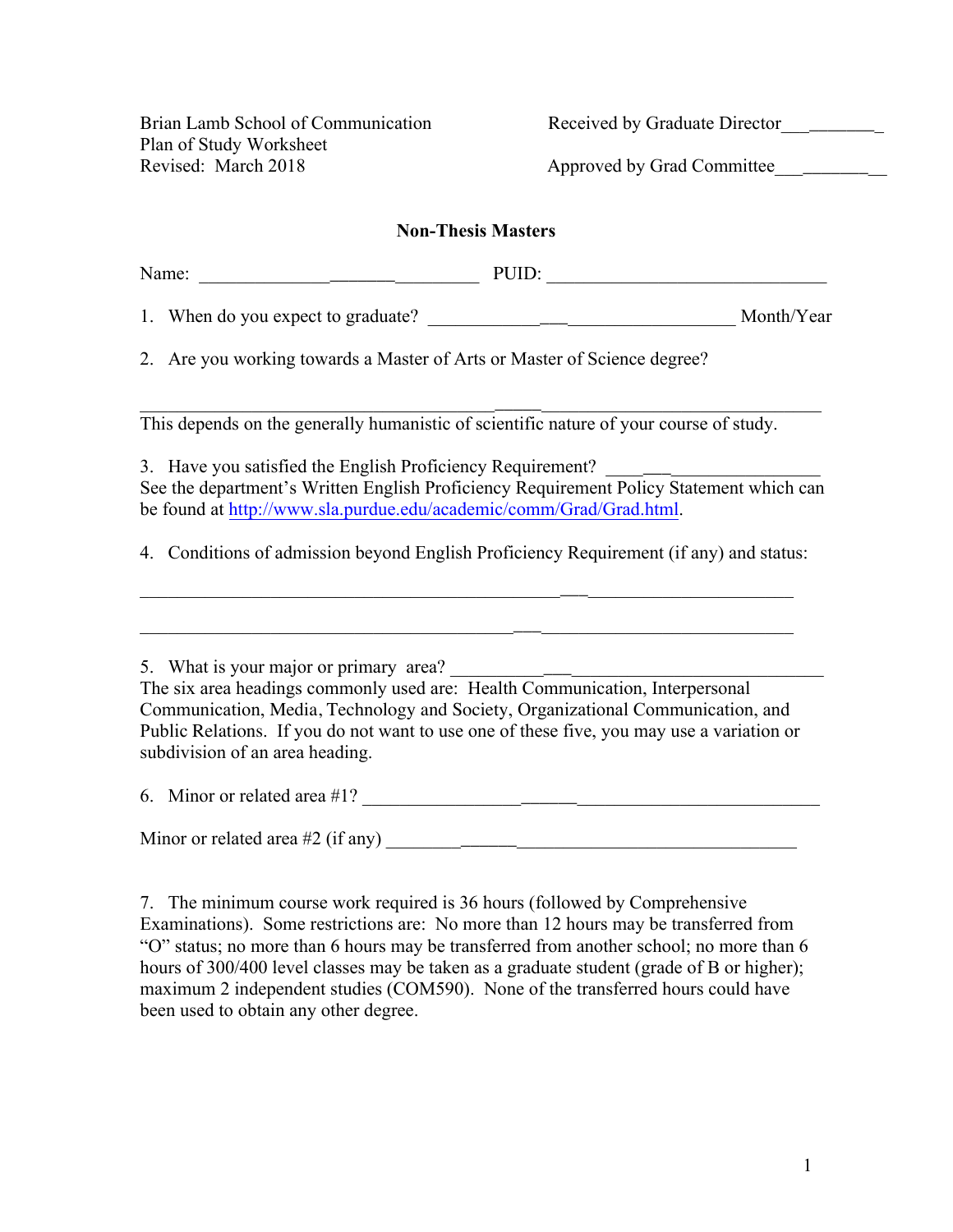Brian Lamb School of Communication Received by Graduate Director Plan of Study Worksheet Revised: March 2018 Approved by Grad Committee

## **Non-Thesis Masters**

Name: \_\_\_\_\_\_\_\_\_\_\_\_\_\_\_\_\_\_\_\_\_\_\_\_\_\_\_\_\_\_ PUID: \_\_\_\_\_\_\_\_\_\_\_\_\_\_\_\_\_\_\_\_\_\_\_\_\_\_\_\_\_\_

1. When do you expect to graduate? <br>
1. When do you expect to graduate?

2. Are you working towards a Master of Arts or Master of Science degree?

 $\_$  ,  $\_$  ,  $\_$  ,  $\_$  ,  $\_$  ,  $\_$  ,  $\_$  ,  $\_$  ,  $\_$  ,  $\_$  ,  $\_$  ,  $\_$  ,  $\_$  ,  $\_$  ,  $\_$  ,  $\_$  ,  $\_$  ,  $\_$  ,  $\_$  ,  $\_$ This depends on the generally humanistic of scientific nature of your course of study.

3. Have you satisfied the English Proficiency Requirement? See the department's Written English Proficiency Requirement Policy Statement which can be found at http://www.sla.purdue.edu/academic/comm/Grad/Grad.html.

4. Conditions of admission beyond English Proficiency Requirement (if any) and status:

 $\_$  , and the set of the set of the set of the set of the set of the set of the set of the set of the set of the set of the set of the set of the set of the set of the set of the set of the set of the set of the set of th

 $\frac{1}{2}$  ,  $\frac{1}{2}$  ,  $\frac{1}{2}$  ,  $\frac{1}{2}$  ,  $\frac{1}{2}$  ,  $\frac{1}{2}$  ,  $\frac{1}{2}$  ,  $\frac{1}{2}$  ,  $\frac{1}{2}$  ,  $\frac{1}{2}$ 

5. What is your major or primary area? The six area headings commonly used are: Health Communication, Interpersonal Communication, Media, Technology and Society, Organizational Communication, and Public Relations. If you do not want to use one of these five, you may use a variation or subdivision of an area heading.

6. Minor or related area #1? \_\_\_\_\_\_\_\_\_\_\_\_\_\_\_\_\_\_\_\_\_\_\_\_\_\_\_\_\_\_\_\_\_\_\_\_\_\_\_\_\_\_\_\_\_\_\_\_\_

Minor or related area #2 (if any) \_\_\_\_\_\_\_\_\_\_\_\_\_\_\_\_\_\_\_\_\_\_\_\_\_\_\_\_\_\_\_\_\_\_\_\_\_\_\_\_\_\_\_\_

7. The minimum course work required is 36 hours (followed by Comprehensive Examinations). Some restrictions are: No more than 12 hours may be transferred from "O" status; no more than 6 hours may be transferred from another school; no more than 6 hours of 300/400 level classes may be taken as a graduate student (grade of B or higher); maximum 2 independent studies (COM590). None of the transferred hours could have been used to obtain any other degree.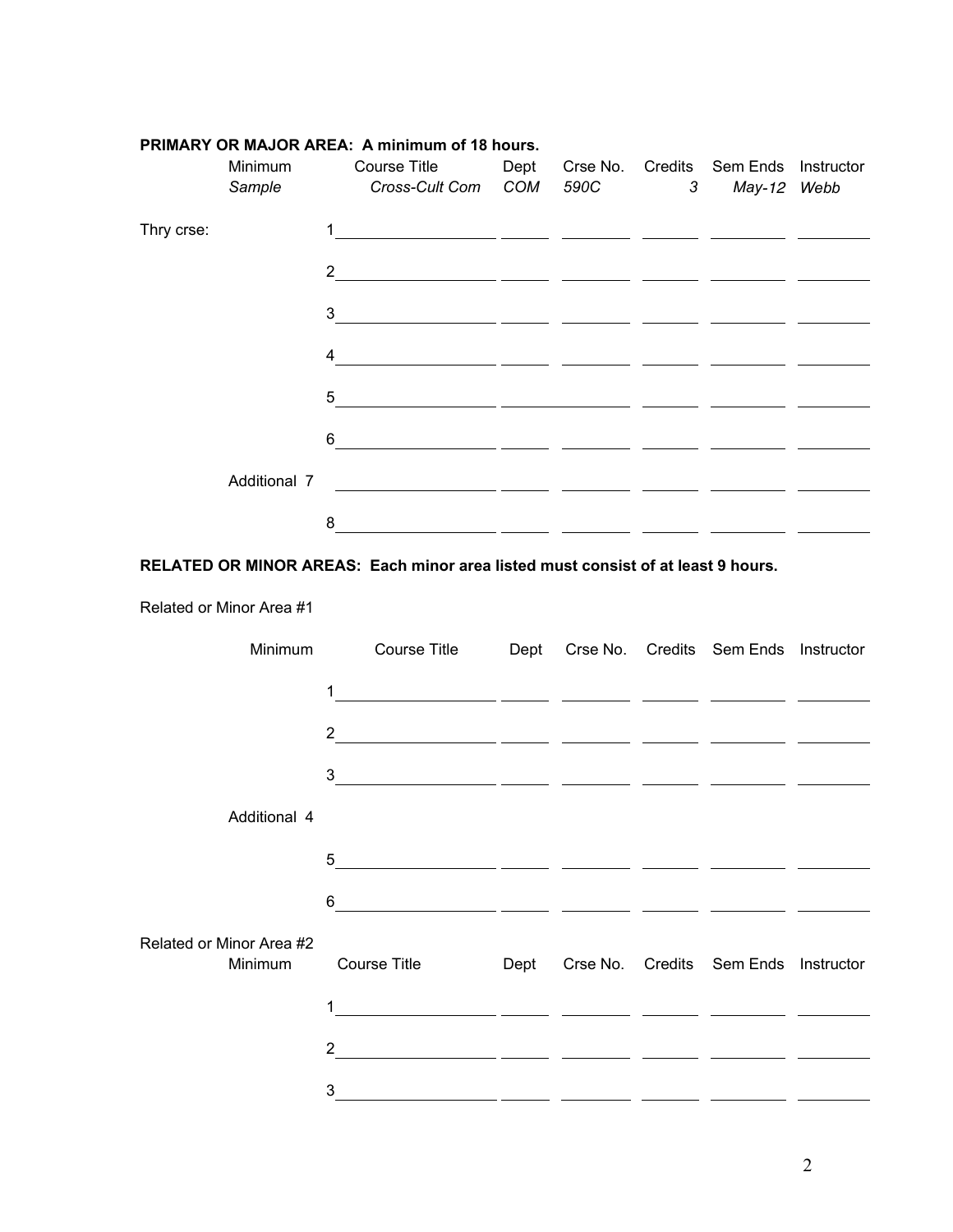|            | Minimum<br>Sample | <b>Course Title</b><br>Cross-Cult Com COM |                                                 | 590C | Dept Crse No. Credits Sem Ends Instructor<br>3 May-12 Webb |  |
|------------|-------------------|-------------------------------------------|-------------------------------------------------|------|------------------------------------------------------------|--|
| Thry crse: |                   |                                           |                                                 |      |                                                            |  |
|            |                   | $2^{\circ}$                               | <u> 1980 - Jan Alexandri, politik politik (</u> |      |                                                            |  |
|            |                   | 3 <sup>1</sup>                            |                                                 |      |                                                            |  |
|            |                   | $\overline{4}$                            |                                                 |      |                                                            |  |
|            |                   | 5 <sup>5</sup>                            |                                                 |      |                                                            |  |
|            |                   | 6                                         |                                                 |      |                                                            |  |
|            | Additional 7      |                                           |                                                 |      |                                                            |  |
|            |                   | 8                                         |                                                 |      |                                                            |  |
|            |                   |                                           |                                                 |      |                                                            |  |

## **PRIMARY OR MAJOR AREA: A minimum of 18 hours.**

## **RELATED OR MINOR AREAS: Each minor area listed must consist of at least 9 hours.**

Related or Minor Area #1

| Minimum                             | Course Title                                                   |  | Dept Crse No. Credits Sem Ends Instructor |  |
|-------------------------------------|----------------------------------------------------------------|--|-------------------------------------------|--|
|                                     | $\overline{1}$<br><u> 1989 - Jan James James James James (</u> |  |                                           |  |
|                                     |                                                                |  |                                           |  |
|                                     |                                                                |  |                                           |  |
| Additional 4                        |                                                                |  |                                           |  |
|                                     | 5                                                              |  |                                           |  |
|                                     | $6 \qquad \qquad$                                              |  |                                           |  |
| Related or Minor Area #2<br>Minimum | <b>Course Title</b>                                            |  | Dept Crse No. Credits Sem Ends Instructor |  |
|                                     | 1                                                              |  |                                           |  |
|                                     |                                                                |  |                                           |  |
|                                     | 3                                                              |  |                                           |  |